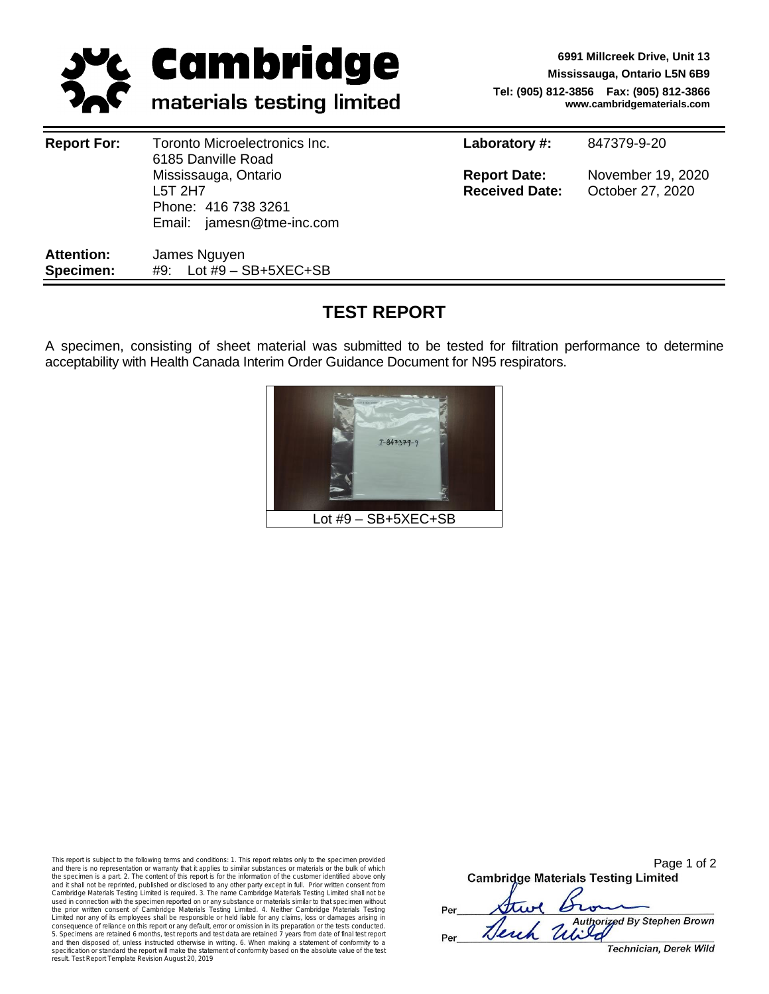

**6991 Millcreek Drive, Unit 13 Mississauga, Ontario L5N 6B9 Tel: (905) 812-3856 Fax: (905) 812-3866 www.cambridgematerials.com**

| <b>Report For:</b>             | Toronto Microelectronics Inc.<br>6185 Danville Road                                 | Laboratory #:                                | 847379-9-20                           |  |
|--------------------------------|-------------------------------------------------------------------------------------|----------------------------------------------|---------------------------------------|--|
|                                | Mississauga, Ontario<br>L5T 2H7<br>Phone: 416 738 3261<br>Email: jamesn@tme-inc.com | <b>Report Date:</b><br><b>Received Date:</b> | November 19, 2020<br>October 27, 2020 |  |
| <b>Attention:</b><br>Specimen: | James Nguyen<br>#9: Lot #9 $-$ SB+5XEC+SB                                           |                                              |                                       |  |

# **TEST REPORT**

A specimen, consisting of sheet material was submitted to be tested for filtration performance to determine acceptability with Health Canada Interim Order Guidance Document for N95 respirators.



This report is subject to the following terms and conditions: 1. This report relates only to the specimen provided and there is no representation or warranty that it applies to similar substances or materials or the bulk of which the specimen is a part. 2. The content of this report is for the information of the customer identified above only<br>and it shall not be reprinted, published or disclosed to any other party except in full. Prior written cons the prior written consent of Cambridge Materials Testing Limited. 4. Neither Cambridge Materials Testing Limited nor any of its employees shall be responsible or held liable for any claims, loss or damages arising in consequence of reliance on this report or any default, error or omission in its preparation or the tests conducted.<br>5. Specimens are retained 6 months, test reports and test data are retained 7 years from date of final tes and then disposed of, unless instructed otherwise in writing. 6. When making a statement of conformity to a<br>specification or standard the report will make the statement of conformity based on the absolute value of the test

|     | Page 1 of 2                                |  |  |  |  |  |
|-----|--------------------------------------------|--|--|--|--|--|
|     | <b>Cambridge Materials Testing Limited</b> |  |  |  |  |  |
|     |                                            |  |  |  |  |  |
| Per | the Brin                                   |  |  |  |  |  |
|     | Herch United By Stephen Brown              |  |  |  |  |  |
| Per |                                            |  |  |  |  |  |
|     | Technician, Derek Wild                     |  |  |  |  |  |